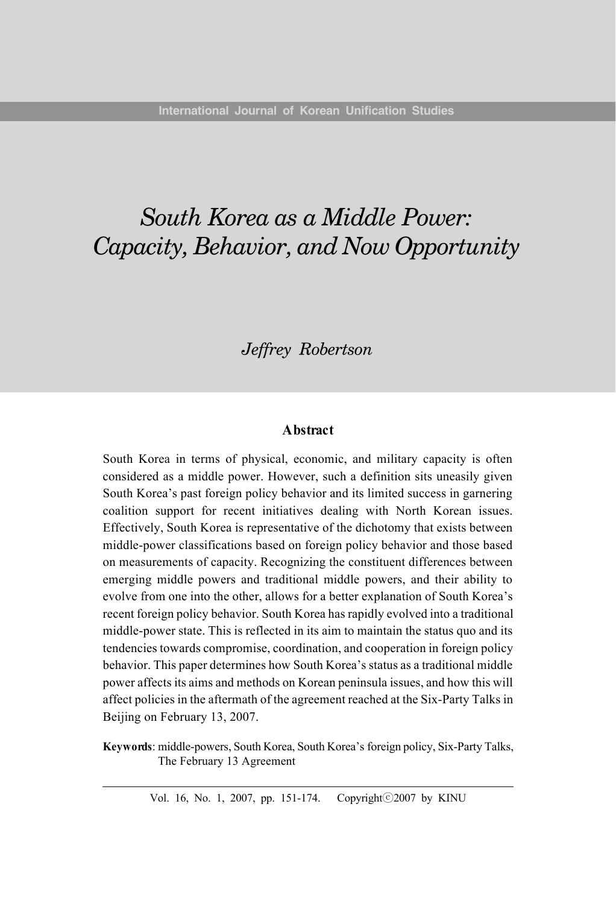# *South Korea as a Middle Power: Capacity, Behavior, and Now Opportunity*

# *Jeffrey Robertson*

#### **Abstract**

South Korea in terms of physical, economic, and military capacity is often considered as a middle power. However, such a definition sits uneasily given South Korea's past foreign policy behavior and its limited success in garnering coalition support for recent initiatives dealing with North Korean issues. Effectively, South Korea is representative of the dichotomy that exists between middle-power classifications based on foreign policy behavior and those based on measurements of capacity. Recognizing the constituent differences between emerging middle powers and traditional middle powers, and their ability to evolve from one into the other, allows for a better explanation of South Korea's recent foreign policy behavior. South Korea has rapidly evolved into a traditional middle-power state. This is reflected in its aim to maintain the status quo and its tendencies towards compromise, coordination, and cooperation in foreign policy behavior. This paper determines how South Korea's status as a traditional middle power affects its aims and methods on Korean peninsula issues, and how this will affect policies in the aftermath of the agreement reached at the Six-Party Talks in Beijing on February 13, 2007.

**Keywords**: middle-powers, South Korea, South Korea's foreign policy, Six-Party Talks, The February 13 Agreement

Vol. 16, No. 1, 2007, pp. 151-174. Copyright©2007 by KINU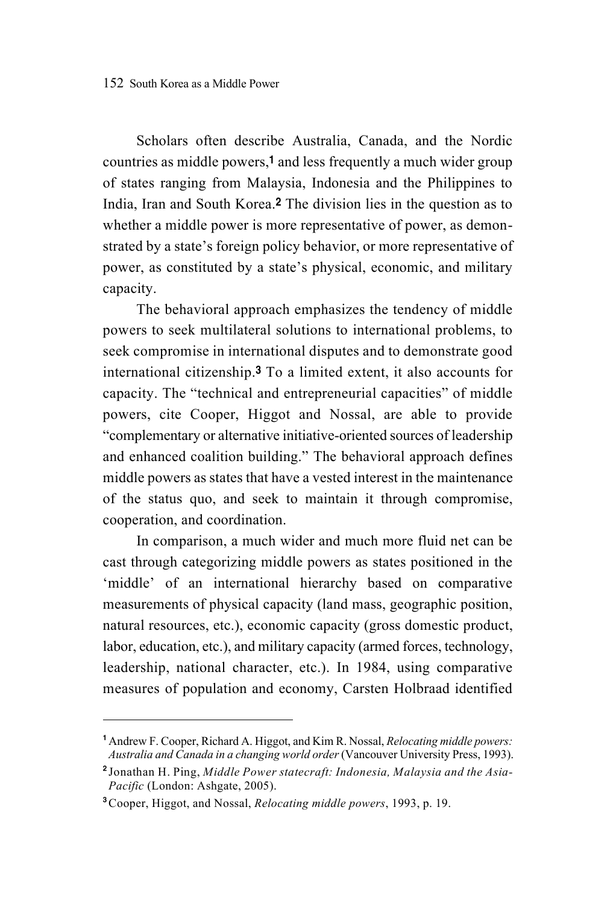Scholars often describe Australia, Canada, and the Nordic countries as middle powers,1 and less frequently a much wider group of states ranging from Malaysia, Indonesia and the Philippines to India, Iran and South Korea.2 The division lies in the question as to whether a middle power is more representative of power, as demonstrated by a state's foreign policy behavior, or more representative of power, as constituted by a state's physical, economic, and military capacity.

The behavioral approach emphasizes the tendency of middle powers to seek multilateral solutions to international problems, to seek compromise in international disputes and to demonstrate good international citizenship.3 To a limited extent, it also accounts for capacity. The "technical and entrepreneurial capacities" of middle powers, cite Cooper, Higgot and Nossal, are able to provide "complementary or alternative initiative-oriented sources of leadership and enhanced coalition building." The behavioral approach defines middle powers as states that have a vested interest in the maintenance of the status quo, and seek to maintain it through compromise, cooperation, and coordination.

In comparison, a much wider and much more fluid net can be cast through categorizing middle powers as states positioned in the 'middle' of an international hierarchy based on comparative measurements of physical capacity (land mass, geographic position, natural resources, etc.), economic capacity (gross domestic product, labor, education, etc.), and military capacity (armed forces, technology, leadership, national character, etc.). In 1984, using comparative measures of population and economy, Carsten Holbraad identified

<sup>1</sup>Andrew F. Cooper, Richard A. Higgot, and Kim R. Nossal, *Relocating middle powers: Australia and Canada in a changing world order* (Vancouver University Press, 1993).

<sup>2</sup> Jonathan H. Ping, *Middle Power statecraft: Indonesia, Malaysia and the Asia-Pacific* (London: Ashgate, 2005).

<sup>3</sup>Cooper, Higgot, and Nossal, *Relocating middle powers*, 1993, p. 19.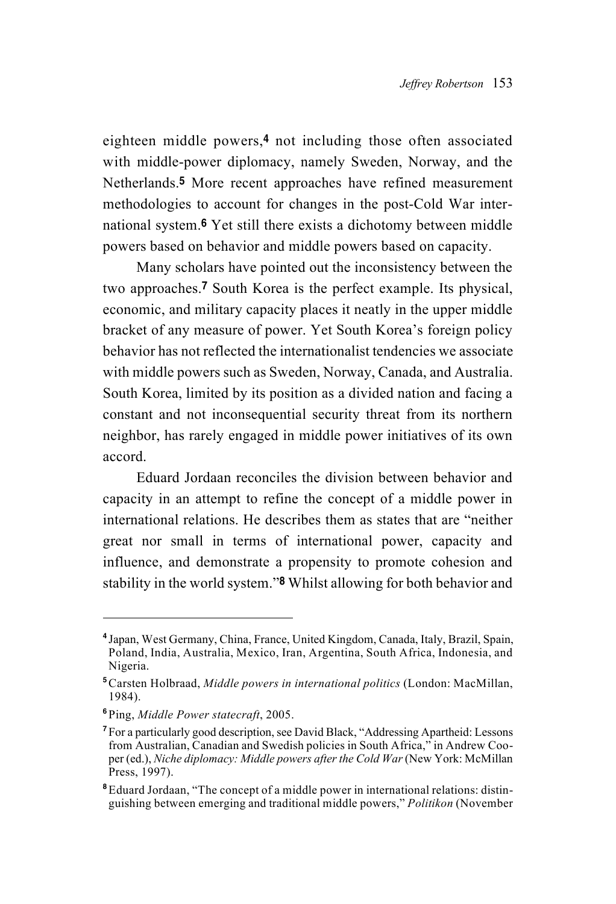eighteen middle powers,<sup>4</sup> not including those often associated with middle-power diplomacy, namely Sweden, Norway, and the Netherlands.5 More recent approaches have refined measurement methodologies to account for changes in the post-Cold War international system.6 Yet still there exists a dichotomy between middle powers based on behavior and middle powers based on capacity.

Many scholars have pointed out the inconsistency between the two approaches.7 South Korea is the perfect example. Its physical, economic, and military capacity places it neatly in the upper middle bracket of any measure of power. Yet South Korea's foreign policy behavior has not reflected the internationalist tendencies we associate with middle powers such as Sweden, Norway, Canada, and Australia. South Korea, limited by its position as a divided nation and facing a constant and not inconsequential security threat from its northern neighbor, has rarely engaged in middle power initiatives of its own accord.

Eduard Jordaan reconciles the division between behavior and capacity in an attempt to refine the concept of a middle power in international relations. He describes them as states that are "neither great nor small in terms of international power, capacity and influence, and demonstrate a propensity to promote cohesion and stability in the world system."8 Whilst allowing for both behavior and

<sup>4</sup> Japan, West Germany, China, France, United Kingdom, Canada, Italy, Brazil, Spain, Poland, India, Australia, Mexico, Iran, Argentina, South Africa, Indonesia, and Nigeria.

<sup>5</sup>Carsten Holbraad, *Middle powers in international politics* (London: MacMillan, 1984).

<sup>6</sup> Ping, *Middle Power statecraft*, 2005.

<sup>7</sup> For a particularly good description, see David Black, "Addressing Apartheid: Lessons from Australian, Canadian and Swedish policies in South Africa," in Andrew Cooper (ed.), *Niche diplomacy: Middle powers after the Cold War* (New York: McMillan Press, 1997).

<sup>&</sup>lt;sup>8</sup>Eduard Jordaan, "The concept of a middle power in international relations: distinguishing between emerging and traditional middle powers," *Politikon* (November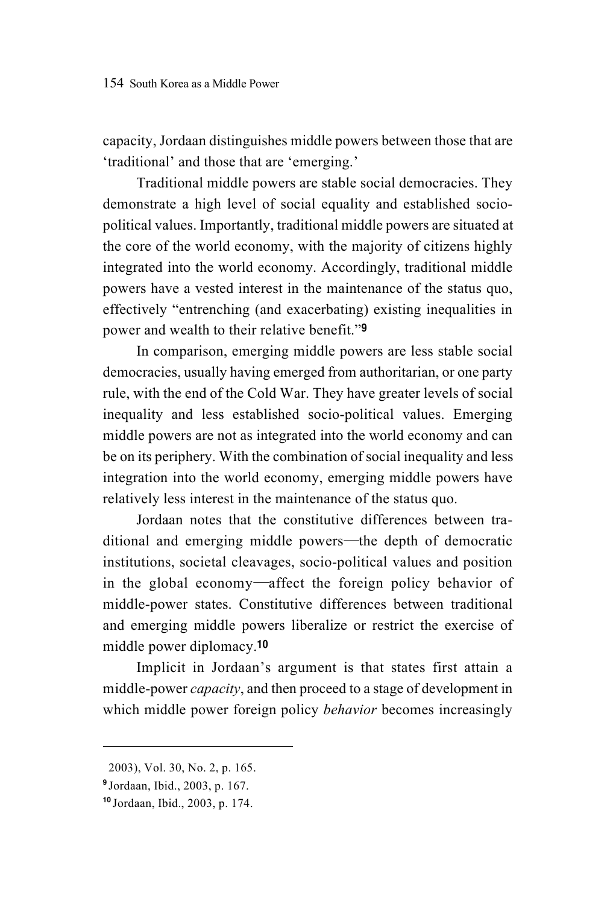capacity, Jordaan distinguishes middle powers between those that are 'traditional' and those that are 'emerging.'

Traditional middle powers are stable social democracies. They demonstrate a high level of social equality and established sociopolitical values. Importantly, traditional middle powers are situated at the core of the world economy, with the majority of citizens highly integrated into the world economy. Accordingly, traditional middle powers have a vested interest in the maintenance of the status quo, effectively "entrenching (and exacerbating) existing inequalities in power and wealth to their relative benefit."<sup>9</sup>

In comparison, emerging middle powers are less stable social democracies, usually having emerged from authoritarian, or one party rule, with the end of the Cold War. They have greater levels of social inequality and less established socio-political values. Emerging middle powers are not as integrated into the world economy and can be on its periphery. With the combination of social inequality and less integration into the world economy, emerging middle powers have relatively less interest in the maintenance of the status quo.

Jordaan notes that the constitutive differences between traditional and emerging middle powers―the depth of democratic institutions, societal cleavages, socio-political values and position in the global economy―affect the foreign policy behavior of middle-power states. Constitutive differences between traditional and emerging middle powers liberalize or restrict the exercise of middle power diplomacy.<sup>10</sup>

Implicit in Jordaan's argument is that states first attain a middle-power *capacity*, and then proceed to a stage of development in which middle power foreign policy *behavior* becomes increasingly

<sup>2003),</sup> Vol. 30, No. 2, p. 165.

<sup>9</sup> Jordaan, Ibid., 2003, p. 167.

<sup>10</sup> Jordaan, Ibid., 2003, p. 174.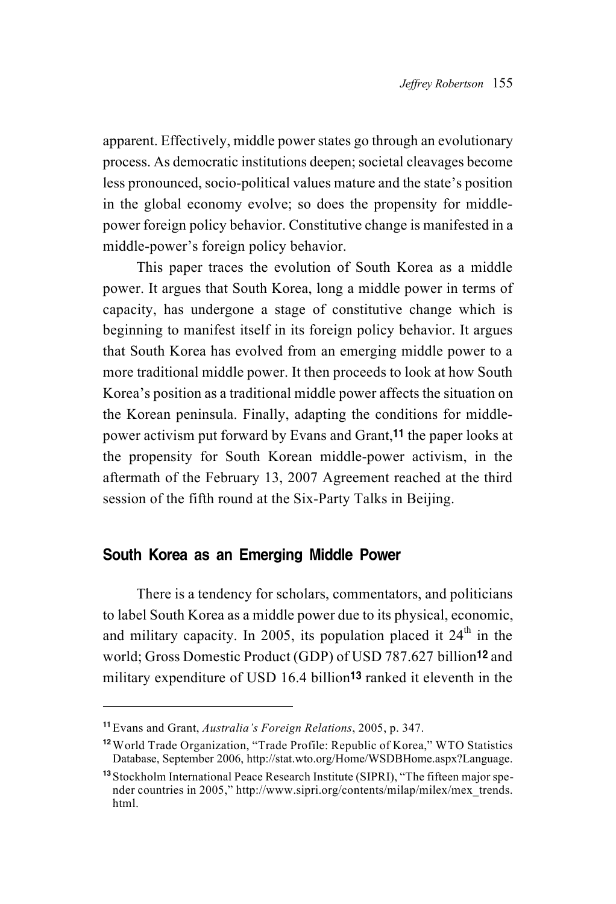apparent. Effectively, middle power states go through an evolutionary process. As democratic institutions deepen; societal cleavages become less pronounced, socio-political values mature and the state's position in the global economy evolve; so does the propensity for middlepower foreign policy behavior. Constitutive change is manifested in a middle-power's foreign policy behavior.

This paper traces the evolution of South Korea as a middle power. It argues that South Korea, long a middle power in terms of capacity, has undergone a stage of constitutive change which is beginning to manifest itself in its foreign policy behavior. It argues that South Korea has evolved from an emerging middle power to a more traditional middle power. It then proceeds to look at how South Korea's position as a traditional middle power affects the situation on the Korean peninsula. Finally, adapting the conditions for middlepower activism put forward by Evans and Grant,11 the paper looks at the propensity for South Korean middle-power activism, in the aftermath of the February 13, 2007 Agreement reached at the third session of the fifth round at the Six-Party Talks in Beijing.

# South Korea as an Emerging Middle Power

There is a tendency for scholars, commentators, and politicians to label South Korea as a middle power due to its physical, economic, and military capacity. In 2005, its population placed it  $24<sup>th</sup>$  in the world; Gross Domestic Product (GDP) of USD 787.627 billion12 and military expenditure of USD 16.4 billion<sup>13</sup> ranked it eleventh in the

<sup>11</sup>Evans and Grant, *Australia's Foreign Relations*, 2005, p. 347.

<sup>12</sup>World Trade Organization, "Trade Profile: Republic of Korea," WTO Statistics Database, September 2006, http://stat.wto.org/Home/WSDBHome.aspx?Language.

<sup>13</sup> Stockholm International Peace Research Institute (SIPRI), "The fifteen major spender countries in 2005," http://www.sipri.org/contents/milap/milex/mex\_trends. html.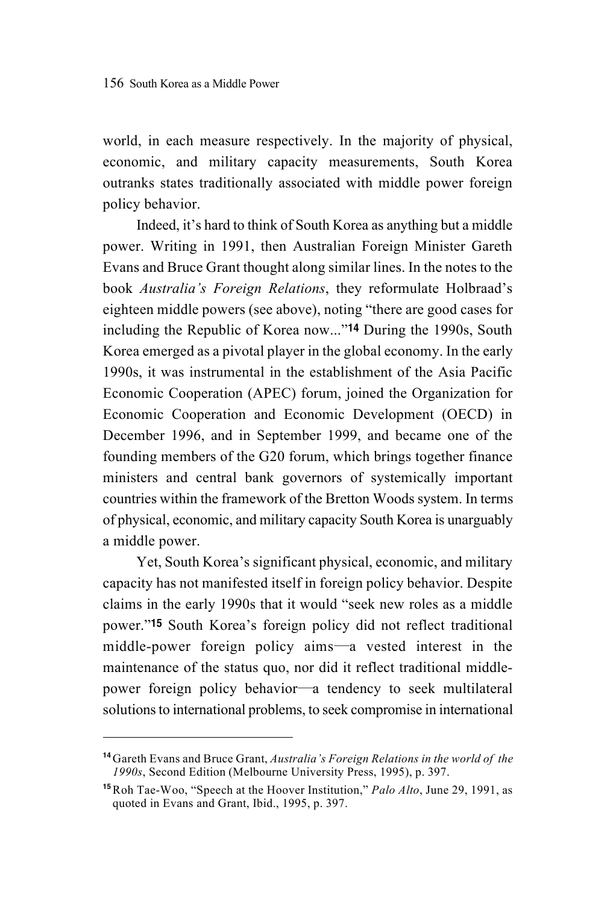world, in each measure respectively. In the majority of physical, economic, and military capacity measurements, South Korea outranks states traditionally associated with middle power foreign policy behavior.

Indeed, it's hard to think of South Korea as anything but a middle power. Writing in 1991, then Australian Foreign Minister Gareth Evans and Bruce Grant thought along similar lines. In the notes to the book *Australia's Foreign Relations*, they reformulate Holbraad's eighteen middle powers (see above), noting "there are good cases for including the Republic of Korea now..."14 During the 1990s, South Korea emerged as a pivotal player in the global economy. In the early 1990s, it was instrumental in the establishment of the Asia Pacific Economic Cooperation (APEC) forum, joined the Organization for Economic Cooperation and Economic Development (OECD) in December 1996, and in September 1999, and became one of the founding members of the G20 forum, which brings together finance ministers and central bank governors of systemically important countries within the framework of the Bretton Woods system. In terms of physical, economic, and military capacity South Korea is unarguably a middle power.

Yet, South Korea's significant physical, economic, and military capacity has not manifested itself in foreign policy behavior. Despite claims in the early 1990s that it would "seek new roles as a middle power."15 South Korea's foreign policy did not reflect traditional middle-power foreign policy aims―a vested interest in the maintenance of the status quo, nor did it reflect traditional middlepower foreign policy behavior―a tendency to seek multilateral solutions to international problems, to seek compromise in international

<sup>14</sup>Gareth Evans and Bruce Grant, *Australia's Foreign Relations in the world of the 1990s*, Second Edition (Melbourne University Press, 1995), p. 397.

<sup>15</sup>Roh Tae-Woo, "Speech at the Hoover Institution," *Palo Alto*, June 29, 1991, as quoted in Evans and Grant, Ibid., 1995, p. 397.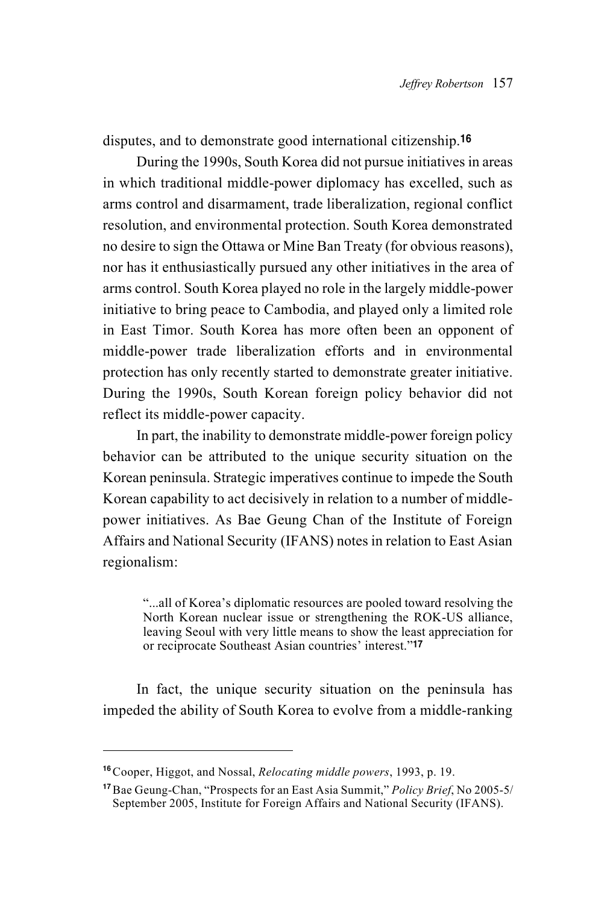disputes, and to demonstrate good international citizenship.<sup>16</sup>

During the 1990s, South Korea did not pursue initiatives in areas in which traditional middle-power diplomacy has excelled, such as arms control and disarmament, trade liberalization, regional conflict resolution, and environmental protection. South Korea demonstrated no desire to sign the Ottawa or Mine Ban Treaty (for obvious reasons), nor has it enthusiastically pursued any other initiatives in the area of arms control. South Korea played no role in the largely middle-power initiative to bring peace to Cambodia, and played only a limited role in East Timor. South Korea has more often been an opponent of middle-power trade liberalization efforts and in environmental protection has only recently started to demonstrate greater initiative. During the 1990s, South Korean foreign policy behavior did not reflect its middle-power capacity.

In part, the inability to demonstrate middle-power foreign policy behavior can be attributed to the unique security situation on the Korean peninsula. Strategic imperatives continue to impede the South Korean capability to act decisively in relation to a number of middlepower initiatives. As Bae Geung Chan of the Institute of Foreign Affairs and National Security (IFANS) notes in relation to East Asian regionalism:

"...all of Korea's diplomatic resources are pooled toward resolving the North Korean nuclear issue or strengthening the ROK-US alliance, leaving Seoul with very little means to show the least appreciation for or reciprocate Southeast Asian countries' interest."<sup>17</sup>

In fact, the unique security situation on the peninsula has impeded the ability of South Korea to evolve from a middle-ranking

<sup>16</sup>Cooper, Higgot, and Nossal, *Relocating middle powers*, 1993, p. 19.

<sup>17</sup>Bae Geung-Chan, "Prospects for an East Asia Summit," *Policy Brief*, No 2005-5/ September 2005, Institute for Foreign Affairs and National Security (IFANS).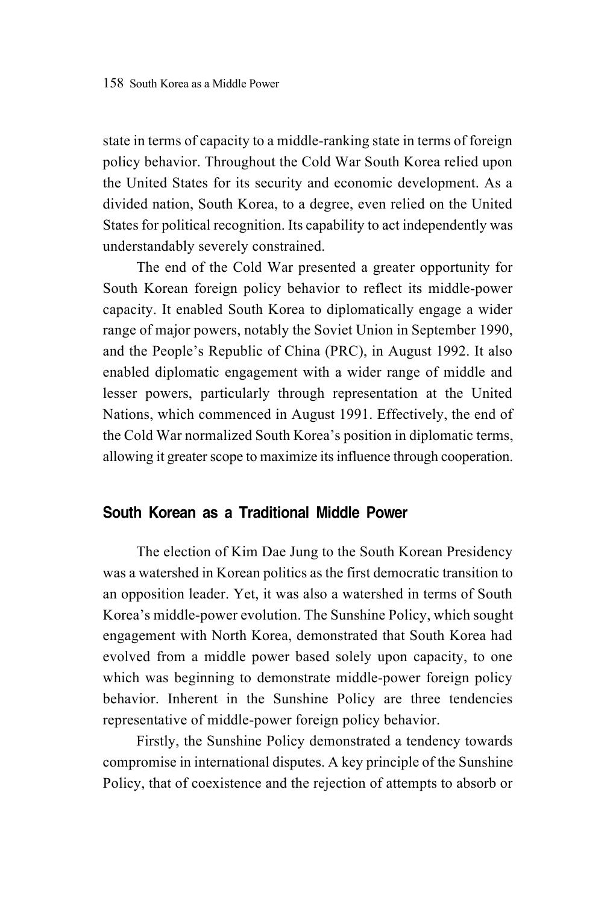state in terms of capacity to a middle-ranking state in terms of foreign policy behavior. Throughout the Cold War South Korea relied upon the United States for its security and economic development. As a divided nation, South Korea, to a degree, even relied on the United States for political recognition. Its capability to act independently was understandably severely constrained.

The end of the Cold War presented a greater opportunity for South Korean foreign policy behavior to reflect its middle-power capacity. It enabled South Korea to diplomatically engage a wider range of major powers, notably the Soviet Union in September 1990, and the People's Republic of China (PRC), in August 1992. It also enabled diplomatic engagement with a wider range of middle and lesser powers, particularly through representation at the United Nations, which commenced in August 1991. Effectively, the end of the Cold War normalized South Korea's position in diplomatic terms, allowing it greater scope to maximize its influence through cooperation.

# South Korean as a Traditional Middle Power

The election of Kim Dae Jung to the South Korean Presidency was a watershed in Korean politics as the first democratic transition to an opposition leader. Yet, it was also a watershed in terms of South Korea's middle-power evolution. The Sunshine Policy, which sought engagement with North Korea, demonstrated that South Korea had evolved from a middle power based solely upon capacity, to one which was beginning to demonstrate middle-power foreign policy behavior. Inherent in the Sunshine Policy are three tendencies representative of middle-power foreign policy behavior.

Firstly, the Sunshine Policy demonstrated a tendency towards compromise in international disputes. A key principle of the Sunshine Policy, that of coexistence and the rejection of attempts to absorb or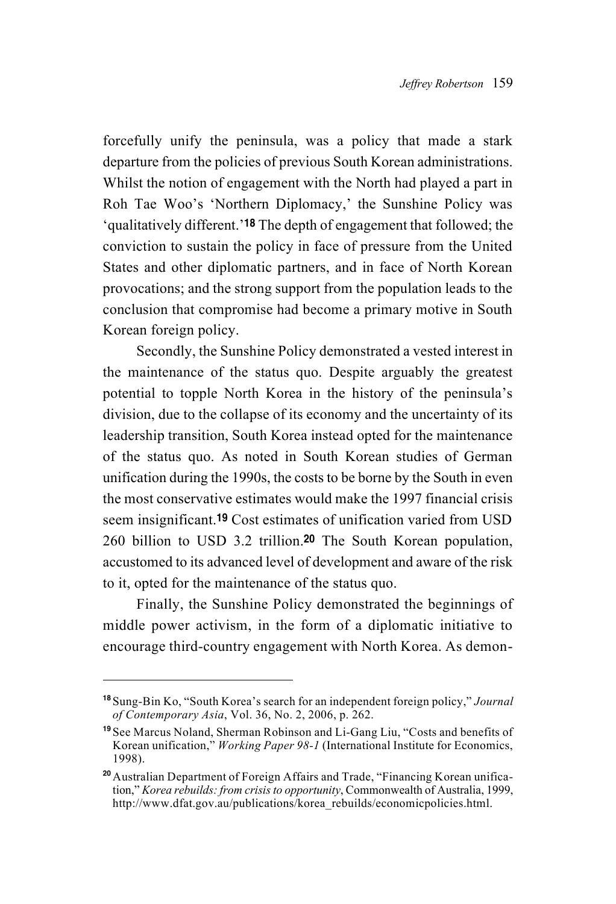forcefully unify the peninsula, was a policy that made a stark departure from the policies of previous South Korean administrations. Whilst the notion of engagement with the North had played a part in Roh Tae Woo's 'Northern Diplomacy,' the Sunshine Policy was 'qualitatively different.'18 The depth of engagement that followed; the conviction to sustain the policy in face of pressure from the United States and other diplomatic partners, and in face of North Korean provocations; and the strong support from the population leads to the conclusion that compromise had become a primary motive in South Korean foreign policy.

Secondly, the Sunshine Policy demonstrated a vested interest in the maintenance of the status quo. Despite arguably the greatest potential to topple North Korea in the history of the peninsula's division, due to the collapse of its economy and the uncertainty of its leadership transition, South Korea instead opted for the maintenance of the status quo. As noted in South Korean studies of German unification during the 1990s, the costs to be borne by the South in even the most conservative estimates would make the 1997 financial crisis seem insignificant.19 Cost estimates of unification varied from USD 260 billion to USD 3.2 trillion.20 The South Korean population, accustomed to its advanced level of development and aware of the risk to it, opted for the maintenance of the status quo.

Finally, the Sunshine Policy demonstrated the beginnings of middle power activism, in the form of a diplomatic initiative to encourage third-country engagement with North Korea. As demon-

<sup>18</sup> Sung-Bin Ko, "South Korea's search for an independent foreign policy," *Journal of Contemporary Asia*, Vol. 36, No. 2, 2006, p. 262.

<sup>19</sup> See Marcus Noland, Sherman Robinson and Li-Gang Liu, "Costs and benefits of Korean unification," *Working Paper 98-1* (International Institute for Economics, 1998).

<sup>&</sup>lt;sup>20</sup> Australian Department of Foreign Affairs and Trade, "Financing Korean unification," *Korea rebuilds: from crisis to opportunity*, Commonwealth of Australia, 1999, http://www.dfat.gov.au/publications/korea\_rebuilds/economicpolicies.html.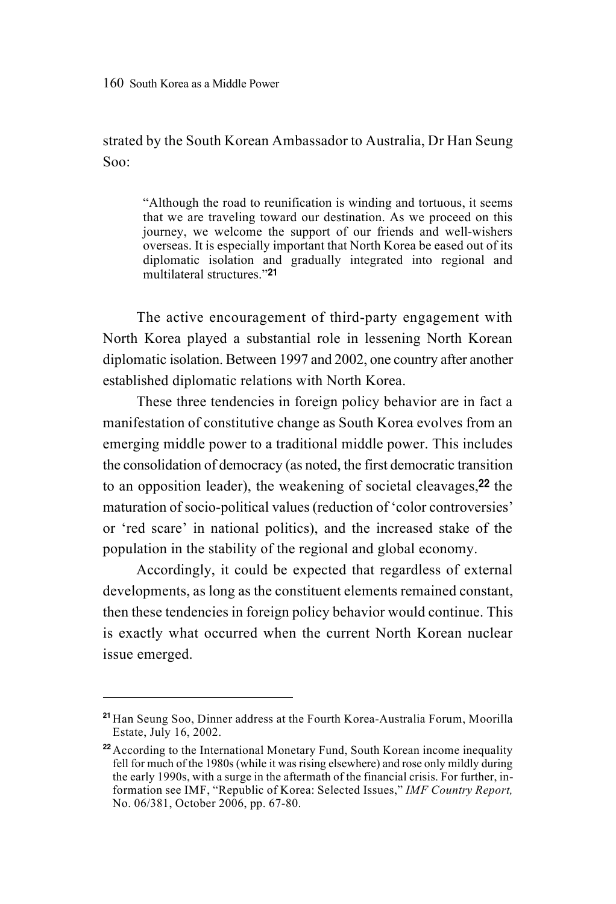strated by the South Korean Ambassador to Australia, Dr Han Seung Soo:

"Although the road to reunification is winding and tortuous, it seems that we are traveling toward our destination. As we proceed on this journey, we welcome the support of our friends and well-wishers overseas. It is especially important that North Korea be eased out of its diplomatic isolation and gradually integrated into regional and multilateral structures."<sup>21</sup>

The active encouragement of third-party engagement with North Korea played a substantial role in lessening North Korean diplomatic isolation. Between 1997 and 2002, one country after another established diplomatic relations with North Korea.

These three tendencies in foreign policy behavior are in fact a manifestation of constitutive change as South Korea evolves from an emerging middle power to a traditional middle power. This includes the consolidation of democracy (as noted, the first democratic transition to an opposition leader), the weakening of societal cleavages,22 the maturation of socio-political values (reduction of 'color controversies' or 'red scare' in national politics), and the increased stake of the population in the stability of the regional and global economy.

Accordingly, it could be expected that regardless of external developments, as long as the constituent elements remained constant, then these tendencies in foreign policy behavior would continue. This is exactly what occurred when the current North Korean nuclear issue emerged.

<sup>&</sup>lt;sup>21</sup> Han Seung Soo, Dinner address at the Fourth Korea-Australia Forum, Moorilla Estate, July 16, 2002.

<sup>&</sup>lt;sup>22</sup> According to the International Monetary Fund, South Korean income inequality fell for much of the 1980s (while it was rising elsewhere) and rose only mildly during the early 1990s, with a surge in the aftermath of the financial crisis. For further, information see IMF, "Republic of Korea: Selected Issues," *IMF Country Report,* No. 06/381, October 2006, pp. 67-80.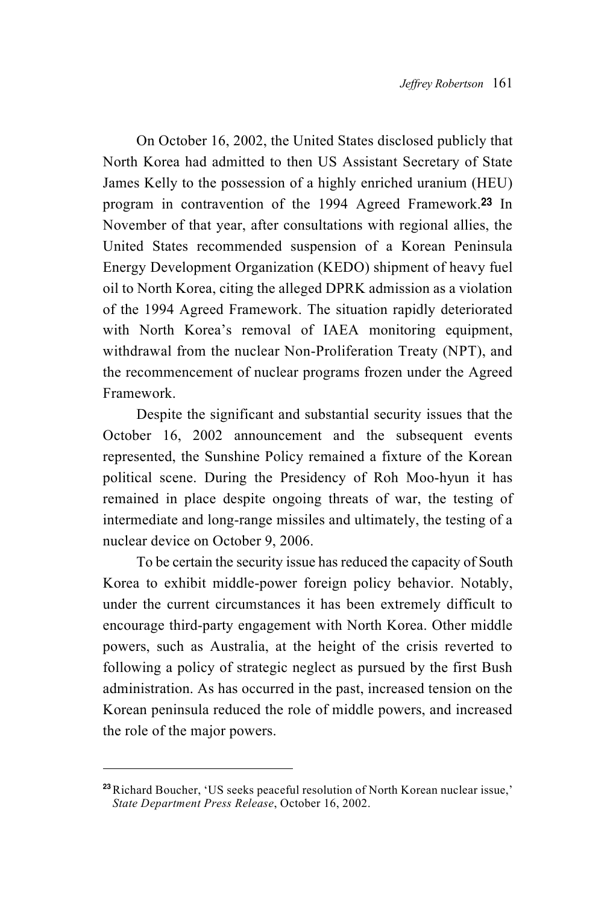On October 16, 2002, the United States disclosed publicly that North Korea had admitted to then US Assistant Secretary of State James Kelly to the possession of a highly enriched uranium (HEU) program in contravention of the 1994 Agreed Framework.23 In November of that year, after consultations with regional allies, the United States recommended suspension of a Korean Peninsula Energy Development Organization (KEDO) shipment of heavy fuel oil to North Korea, citing the alleged DPRK admission as a violation of the 1994 Agreed Framework. The situation rapidly deteriorated with North Korea's removal of IAEA monitoring equipment, withdrawal from the nuclear Non-Proliferation Treaty (NPT), and the recommencement of nuclear programs frozen under the Agreed Framework.

Despite the significant and substantial security issues that the October 16, 2002 announcement and the subsequent events represented, the Sunshine Policy remained a fixture of the Korean political scene. During the Presidency of Roh Moo-hyun it has remained in place despite ongoing threats of war, the testing of intermediate and long-range missiles and ultimately, the testing of a nuclear device on October 9, 2006.

To be certain the security issue has reduced the capacity of South Korea to exhibit middle-power foreign policy behavior. Notably, under the current circumstances it has been extremely difficult to encourage third-party engagement with North Korea. Other middle powers, such as Australia, at the height of the crisis reverted to following a policy of strategic neglect as pursued by the first Bush administration. As has occurred in the past, increased tension on the Korean peninsula reduced the role of middle powers, and increased the role of the major powers.

<sup>&</sup>lt;sup>23</sup>Richard Boucher, 'US seeks peaceful resolution of North Korean nuclear issue,' *State Department Press Release*, October 16, 2002.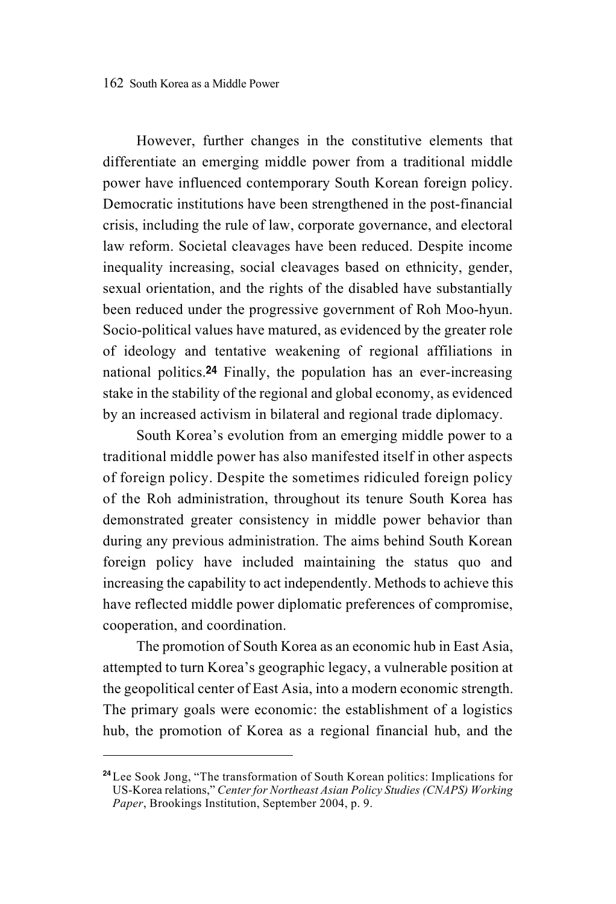However, further changes in the constitutive elements that differentiate an emerging middle power from a traditional middle power have influenced contemporary South Korean foreign policy. Democratic institutions have been strengthened in the post-financial crisis, including the rule of law, corporate governance, and electoral law reform. Societal cleavages have been reduced. Despite income inequality increasing, social cleavages based on ethnicity, gender, sexual orientation, and the rights of the disabled have substantially been reduced under the progressive government of Roh Moo-hyun. Socio-political values have matured, as evidenced by the greater role of ideology and tentative weakening of regional affiliations in national politics.24 Finally, the population has an ever-increasing stake in the stability of the regional and global economy, as evidenced by an increased activism in bilateral and regional trade diplomacy.

South Korea's evolution from an emerging middle power to a traditional middle power has also manifested itself in other aspects of foreign policy. Despite the sometimes ridiculed foreign policy of the Roh administration, throughout its tenure South Korea has demonstrated greater consistency in middle power behavior than during any previous administration. The aims behind South Korean foreign policy have included maintaining the status quo and increasing the capability to act independently. Methods to achieve this have reflected middle power diplomatic preferences of compromise, cooperation, and coordination.

The promotion of South Korea as an economic hub in East Asia, attempted to turn Korea's geographic legacy, a vulnerable position at the geopolitical center of East Asia, into a modern economic strength. The primary goals were economic: the establishment of a logistics hub, the promotion of Korea as a regional financial hub, and the

<sup>&</sup>lt;sup>24</sup> Lee Sook Jong, "The transformation of South Korean politics: Implications for US-Korea relations," *Center for Northeast Asian Policy Studies (CNAPS) Working Paper*, Brookings Institution, September 2004, p. 9.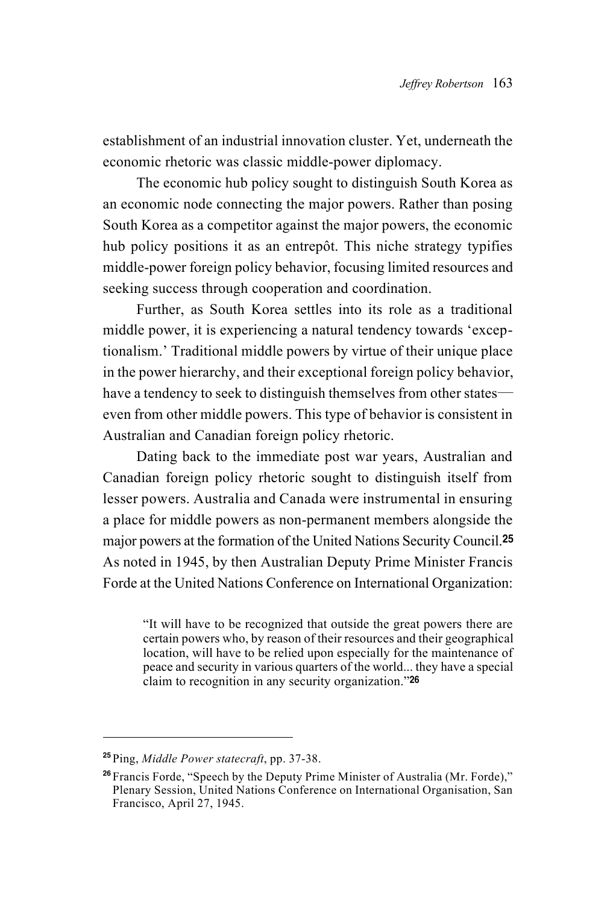establishment of an industrial innovation cluster. Yet, underneath the economic rhetoric was classic middle-power diplomacy.

The economic hub policy sought to distinguish South Korea as an economic node connecting the major powers. Rather than posing South Korea as a competitor against the major powers, the economic hub policy positions it as an entrepôt. This niche strategy typifies middle-power foreign policy behavior, focusing limited resources and seeking success through cooperation and coordination.

Further, as South Korea settles into its role as a traditional middle power, it is experiencing a natural tendency towards 'exceptionalism.' Traditional middle powers by virtue of their unique place in the power hierarchy, and their exceptional foreign policy behavior, have a tendency to seek to distinguish themselves from other states even from other middle powers. This type of behavior is consistent in Australian and Canadian foreign policy rhetoric.

Dating back to the immediate post war years, Australian and Canadian foreign policy rhetoric sought to distinguish itself from lesser powers. Australia and Canada were instrumental in ensuring a place for middle powers as non-permanent members alongside the major powers at the formation of the United Nations Security Council.<sup>25</sup> As noted in 1945, by then Australian Deputy Prime Minister Francis Forde at the United Nations Conference on International Organization:

"It will have to be recognized that outside the great powers there are certain powers who, by reason of their resources and their geographical location, will have to be relied upon especially for the maintenance of peace and security in various quarters of the world... they have a special claim to recognition in any security organization."<sup>26</sup>

<sup>25</sup> Ping, *Middle Power statecraft*, pp. 37-38.

<sup>26</sup> Francis Forde, "Speech by the Deputy Prime Minister of Australia (Mr. Forde)," Plenary Session, United Nations Conference on International Organisation, San Francisco, April 27, 1945.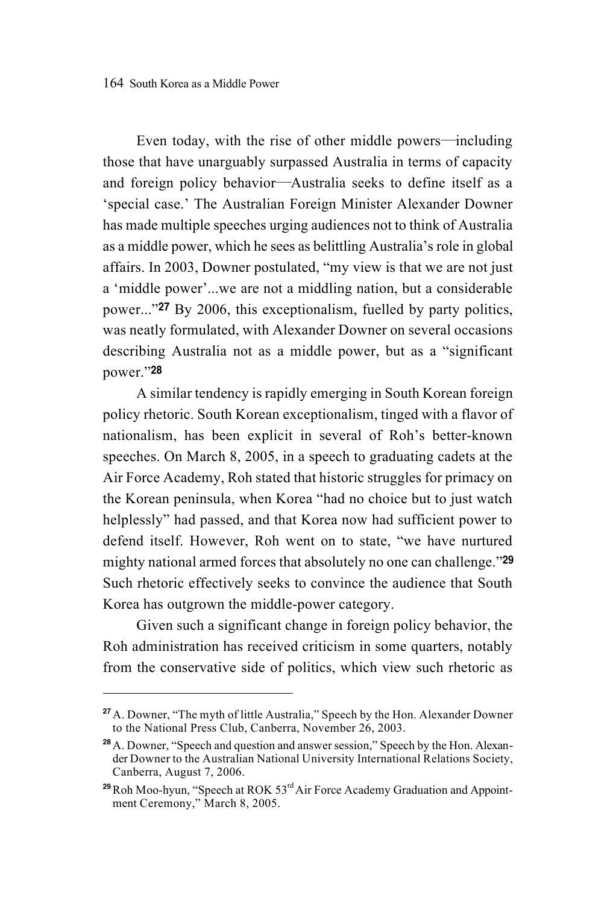Even today, with the rise of other middle powers―including those that have unarguably surpassed Australia in terms of capacity and foreign policy behavior―Australia seeks to define itself as a 'special case.' The Australian Foreign Minister Alexander Downer has made multiple speeches urging audiences not to think of Australia as a middle power, which he sees as belittling Australia's role in global affairs. In 2003, Downer postulated, "my view is that we are not just a 'middle power'...we are not a middling nation, but a considerable power..."27 By 2006, this exceptionalism, fuelled by party politics, was neatly formulated, with Alexander Downer on several occasions describing Australia not as a middle power, but as a "significant power."<sup>28</sup>

A similar tendency is rapidly emerging in South Korean foreign policy rhetoric. South Korean exceptionalism, tinged with a flavor of nationalism, has been explicit in several of Roh's better-known speeches. On March 8, 2005, in a speech to graduating cadets at the Air Force Academy, Roh stated that historic struggles for primacy on the Korean peninsula, when Korea "had no choice but to just watch helplessly" had passed, and that Korea now had sufficient power to defend itself. However, Roh went on to state, "we have nurtured mighty national armed forces that absolutely no one can challenge."29 Such rhetoric effectively seeks to convince the audience that South Korea has outgrown the middle-power category.

Given such a significant change in foreign policy behavior, the Roh administration has received criticism in some quarters, notably from the conservative side of politics, which view such rhetoric as

<sup>&</sup>lt;sup>27</sup> A. Downer, "The myth of little Australia," Speech by the Hon. Alexander Downer to the National Press Club, Canberra, November 26, 2003.

<sup>&</sup>lt;sup>28</sup> A. Downer, "Speech and question and answer session," Speech by the Hon. Alexander Downer to the Australian National University International Relations Society, Canberra, August 7, 2006.

 $29$  Roh Moo-hyun, "Speech at ROK  $53<sup>rd</sup>$  Air Force Academy Graduation and Appointment Ceremony," March 8, 2005.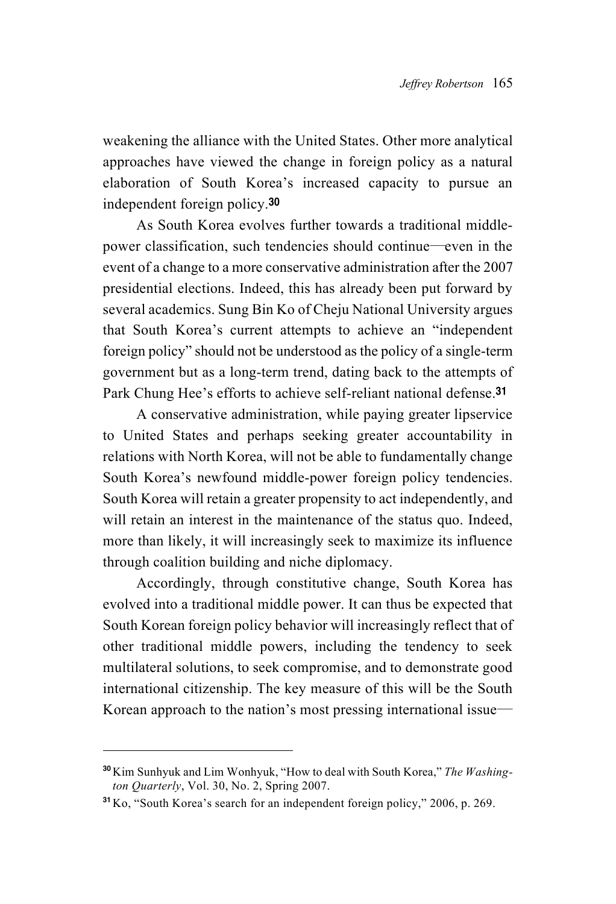weakening the alliance with the United States. Other more analytical approaches have viewed the change in foreign policy as a natural elaboration of South Korea's increased capacity to pursue an independent foreign policy.<sup>30</sup>

As South Korea evolves further towards a traditional middlepower classification, such tendencies should continue―even in the event of a change to a more conservative administration after the 2007 presidential elections. Indeed, this has already been put forward by several academics. Sung Bin Ko of Cheju National University argues that South Korea's current attempts to achieve an "independent foreign policy" should not be understood as the policy of a single-term government but as a long-term trend, dating back to the attempts of Park Chung Hee's efforts to achieve self-reliant national defense.<sup>31</sup>

A conservative administration, while paying greater lipservice to United States and perhaps seeking greater accountability in relations with North Korea, will not be able to fundamentally change South Korea's newfound middle-power foreign policy tendencies. South Korea will retain a greater propensity to act independently, and will retain an interest in the maintenance of the status quo. Indeed, more than likely, it will increasingly seek to maximize its influence through coalition building and niche diplomacy.

Accordingly, through constitutive change, South Korea has evolved into a traditional middle power. It can thus be expected that South Korean foreign policy behavior will increasingly reflect that of other traditional middle powers, including the tendency to seek multilateral solutions, to seek compromise, and to demonstrate good international citizenship. The key measure of this will be the South Korean approach to the nation's most pressing international issue―

<sup>30</sup>Kim Sunhyuk and Lim Wonhyuk, "How to deal with South Korea," *The Washington Quarterly*, Vol. 30, No. 2, Spring 2007.

<sup>31</sup>Ko, "South Korea's search for an independent foreign policy," 2006, p. 269.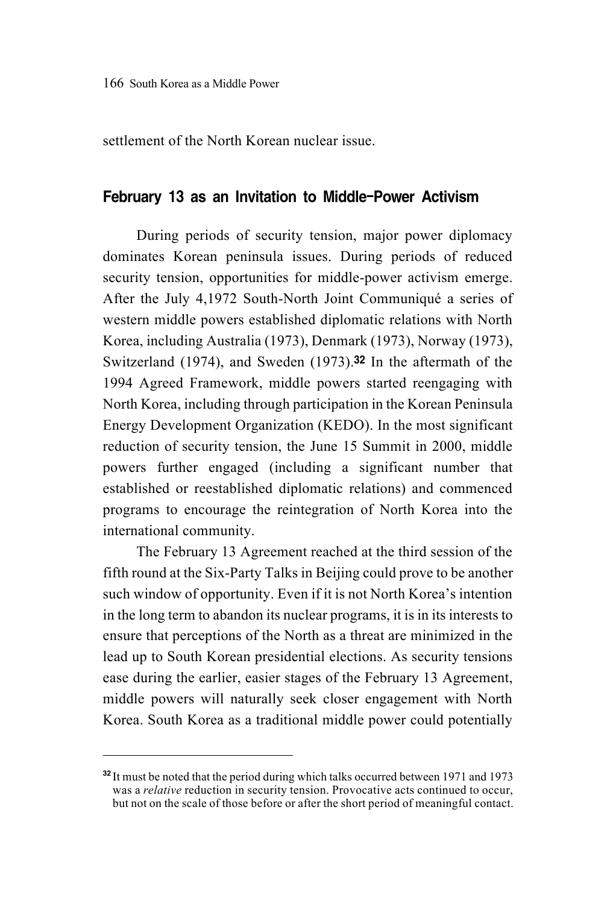settlement of the North Korean nuclear issue.

#### February 13 as an Invitation to Middle-Power Activism

During periods of security tension, major power diplomacy dominates Korean peninsula issues. During periods of reduced security tension, opportunities for middle-power activism emerge. After the July 4,1972 South-North Joint Communiqué a series of western middle powers established diplomatic relations with North Korea, including Australia (1973), Denmark (1973), Norway (1973), Switzerland (1974), and Sweden (1973).32 In the aftermath of the 1994 Agreed Framework, middle powers started reengaging with North Korea, including through participation in the Korean Peninsula Energy Development Organization (KEDO). In the most significant reduction of security tension, the June 15 Summit in 2000, middle powers further engaged (including a significant number that established or reestablished diplomatic relations) and commenced programs to encourage the reintegration of North Korea into the international community.

The February 13 Agreement reached at the third session of the fifth round at the Six-Party Talks in Beijing could prove to be another such window of opportunity. Even if it is not North Korea's intention in the long term to abandon its nuclear programs, it is in its interests to ensure that perceptions of the North as a threat are minimized in the lead up to South Korean presidential elections. As security tensions ease during the earlier, easier stages of the February 13 Agreement, middle powers will naturally seek closer engagement with North Korea. South Korea as a traditional middle power could potentially

<sup>&</sup>lt;sup>32</sup> It must be noted that the period during which talks occurred between 1971 and 1973 was a *relative* reduction in security tension. Provocative acts continued to occur, but not on the scale of those before or after the short period of meaningful contact.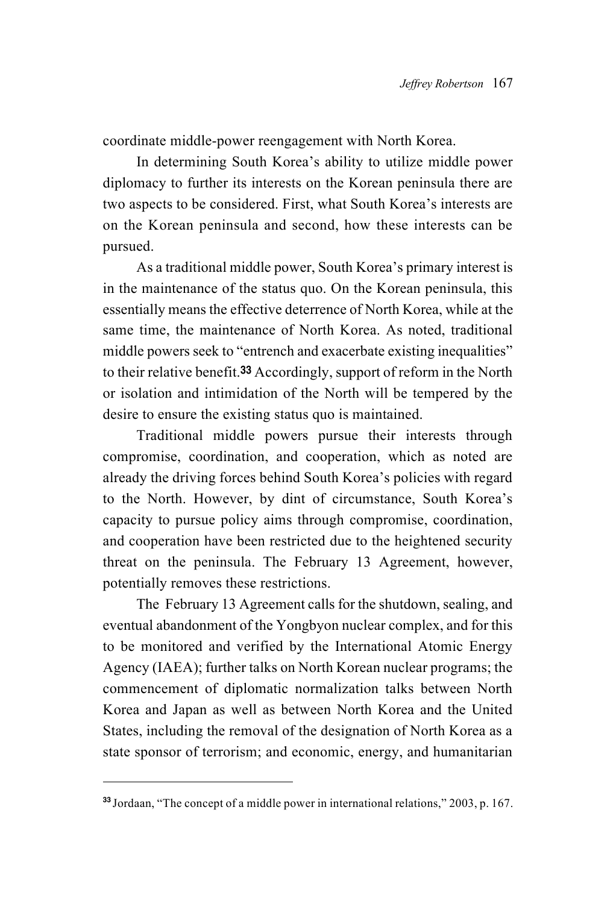coordinate middle-power reengagement with North Korea.

In determining South Korea's ability to utilize middle power diplomacy to further its interests on the Korean peninsula there are two aspects to be considered. First, what South Korea's interests are on the Korean peninsula and second, how these interests can be pursued.

As a traditional middle power, South Korea's primary interest is in the maintenance of the status quo. On the Korean peninsula, this essentially means the effective deterrence of North Korea, while at the same time, the maintenance of North Korea. As noted, traditional middle powers seek to "entrench and exacerbate existing inequalities" to their relative benefit.33 Accordingly, support of reform in the North or isolation and intimidation of the North will be tempered by the desire to ensure the existing status quo is maintained.

Traditional middle powers pursue their interests through compromise, coordination, and cooperation, which as noted are already the driving forces behind South Korea's policies with regard to the North. However, by dint of circumstance, South Korea's capacity to pursue policy aims through compromise, coordination, and cooperation have been restricted due to the heightened security threat on the peninsula. The February 13 Agreement, however, potentially removes these restrictions.

The February 13 Agreement calls for the shutdown, sealing, and eventual abandonment of the Yongbyon nuclear complex, and for this to be monitored and verified by the International Atomic Energy Agency (IAEA); further talks on North Korean nuclear programs; the commencement of diplomatic normalization talks between North Korea and Japan as well as between North Korea and the United States, including the removal of the designation of North Korea as a state sponsor of terrorism; and economic, energy, and humanitarian

<sup>33</sup> Jordaan, "The concept of a middle power in international relations," 2003, p. 167.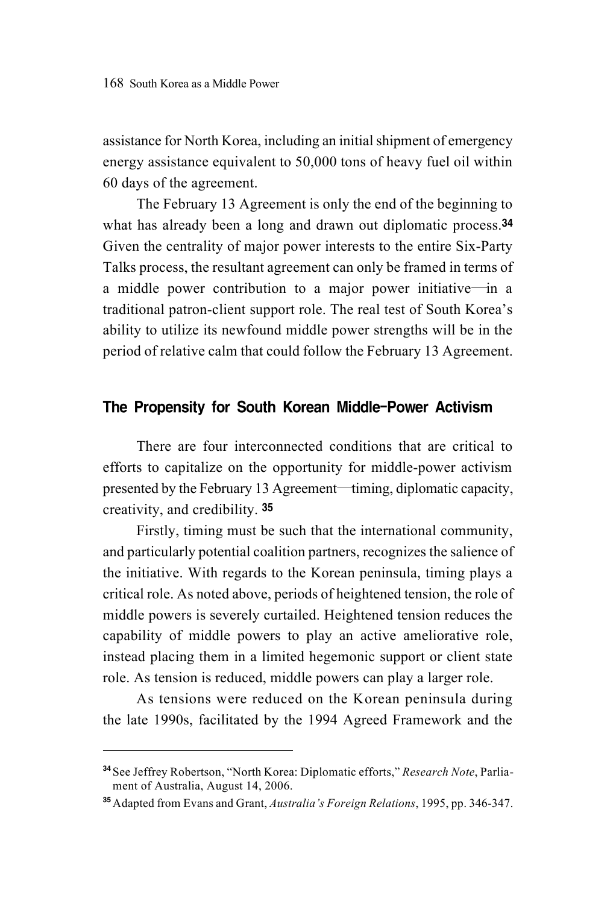assistance for North Korea, including an initial shipment of emergency energy assistance equivalent to 50,000 tons of heavy fuel oil within 60 days of the agreement.

The February 13 Agreement is only the end of the beginning to what has already been a long and drawn out diplomatic process.<sup>34</sup> Given the centrality of major power interests to the entire Six-Party Talks process, the resultant agreement can only be framed in terms of a middle power contribution to a major power initiative―in a traditional patron-client support role. The real test of South Korea's ability to utilize its newfound middle power strengths will be in the period of relative calm that could follow the February 13 Agreement.

## The Propensity for South Korean Middle-Power Activism

There are four interconnected conditions that are critical to efforts to capitalize on the opportunity for middle-power activism presented by the February 13 Agreement―timing, diplomatic capacity, creativity, and credibility. <sup>35</sup>

Firstly, timing must be such that the international community, and particularly potential coalition partners, recognizes the salience of the initiative. With regards to the Korean peninsula, timing plays a critical role. As noted above, periods of heightened tension, the role of middle powers is severely curtailed. Heightened tension reduces the capability of middle powers to play an active ameliorative role, instead placing them in a limited hegemonic support or client state role. As tension is reduced, middle powers can play a larger role.

As tensions were reduced on the Korean peninsula during the late 1990s, facilitated by the 1994 Agreed Framework and the

<sup>34</sup> See Jeffrey Robertson, "North Korea: Diplomatic efforts," *Research Note*, Parliament of Australia, August 14, 2006.

<sup>35</sup>Adapted from Evans and Grant, *Australia's Foreign Relations*, 1995, pp. 346-347.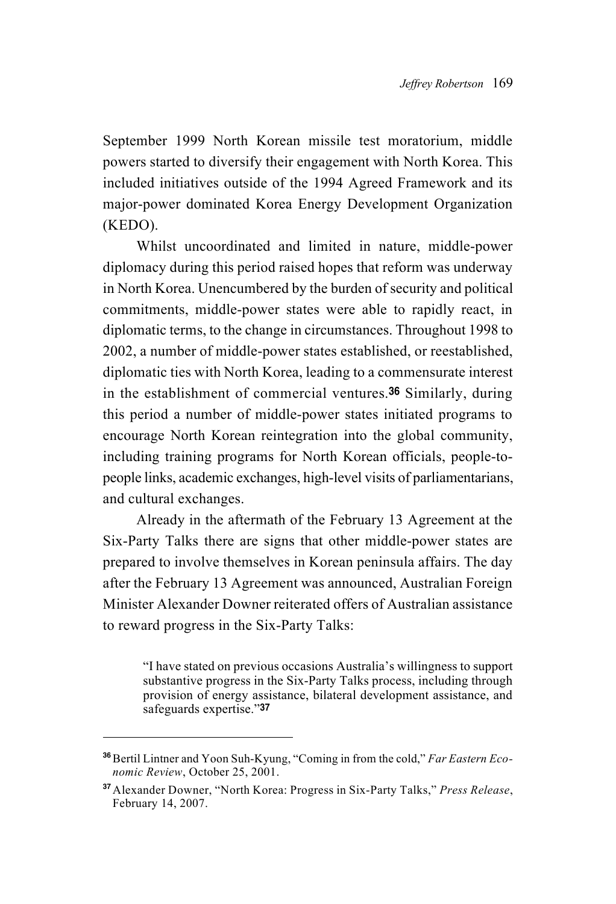September 1999 North Korean missile test moratorium, middle powers started to diversify their engagement with North Korea. This included initiatives outside of the 1994 Agreed Framework and its major-power dominated Korea Energy Development Organization (KEDO).

Whilst uncoordinated and limited in nature, middle-power diplomacy during this period raised hopes that reform was underway in North Korea. Unencumbered by the burden of security and political commitments, middle-power states were able to rapidly react, in diplomatic terms, to the change in circumstances. Throughout 1998 to 2002, a number of middle-power states established, or reestablished, diplomatic ties with North Korea, leading to a commensurate interest in the establishment of commercial ventures.36 Similarly, during this period a number of middle-power states initiated programs to encourage North Korean reintegration into the global community, including training programs for North Korean officials, people-topeople links, academic exchanges, high-level visits of parliamentarians, and cultural exchanges.

Already in the aftermath of the February 13 Agreement at the Six-Party Talks there are signs that other middle-power states are prepared to involve themselves in Korean peninsula affairs. The day after the February 13 Agreement was announced, Australian Foreign Minister Alexander Downer reiterated offers of Australian assistance to reward progress in the Six-Party Talks:

"I have stated on previous occasions Australia's willingness to support substantive progress in the Six-Party Talks process, including through provision of energy assistance, bilateral development assistance, and safeguards expertise."<sup>37</sup>

<sup>&</sup>lt;sup>36</sup> Bertil Lintner and Yoon Suh-Kyung, "Coming in from the cold," *Far Eastern Economic Review*, October 25, 2001.

<sup>37</sup>Alexander Downer, "North Korea: Progress in Six-Party Talks," *Press Release*, February 14, 2007.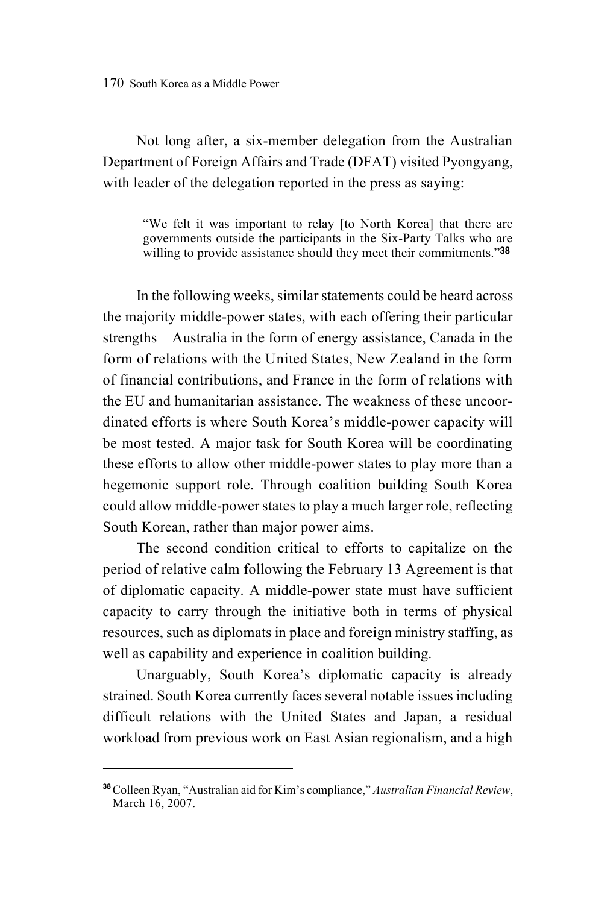Not long after, a six-member delegation from the Australian Department of Foreign Affairs and Trade (DFAT) visited Pyongyang, with leader of the delegation reported in the press as saying:

"We felt it was important to relay [to North Korea] that there are governments outside the participants in the Six-Party Talks who are willing to provide assistance should they meet their commitments."38

In the following weeks, similar statements could be heard across the majority middle-power states, with each offering their particular strengths―Australia in the form of energy assistance, Canada in the form of relations with the United States, New Zealand in the form of financial contributions, and France in the form of relations with the EU and humanitarian assistance. The weakness of these uncoordinated efforts is where South Korea's middle-power capacity will be most tested. A major task for South Korea will be coordinating these efforts to allow other middle-power states to play more than a hegemonic support role. Through coalition building South Korea could allow middle-power states to play a much larger role, reflecting South Korean, rather than major power aims.

The second condition critical to efforts to capitalize on the period of relative calm following the February 13 Agreement is that of diplomatic capacity. A middle-power state must have sufficient capacity to carry through the initiative both in terms of physical resources, such as diplomats in place and foreign ministry staffing, as well as capability and experience in coalition building.

Unarguably, South Korea's diplomatic capacity is already strained. South Korea currently faces several notable issues including difficult relations with the United States and Japan, a residual workload from previous work on East Asian regionalism, and a high

<sup>38</sup>Colleen Ryan, "Australian aid for Kim's compliance," *Australian Financial Review*, March 16, 2007.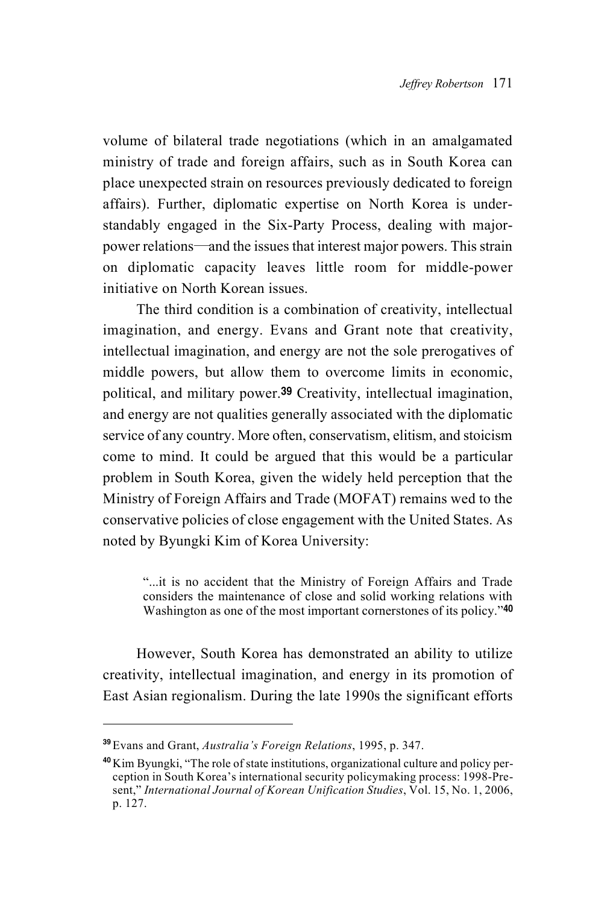volume of bilateral trade negotiations (which in an amalgamated ministry of trade and foreign affairs, such as in South Korea can place unexpected strain on resources previously dedicated to foreign affairs). Further, diplomatic expertise on North Korea is understandably engaged in the Six-Party Process, dealing with majorpower relations―and the issues that interest major powers. This strain on diplomatic capacity leaves little room for middle-power initiative on North Korean issues.

The third condition is a combination of creativity, intellectual imagination, and energy. Evans and Grant note that creativity, intellectual imagination, and energy are not the sole prerogatives of middle powers, but allow them to overcome limits in economic, political, and military power.39 Creativity, intellectual imagination, and energy are not qualities generally associated with the diplomatic service of any country. More often, conservatism, elitism, and stoicism come to mind. It could be argued that this would be a particular problem in South Korea, given the widely held perception that the Ministry of Foreign Affairs and Trade (MOFAT) remains wed to the conservative policies of close engagement with the United States. As noted by Byungki Kim of Korea University:

"...it is no accident that the Ministry of Foreign Affairs and Trade considers the maintenance of close and solid working relations with Washington as one of the most important cornerstones of its policy."40

However, South Korea has demonstrated an ability to utilize creativity, intellectual imagination, and energy in its promotion of East Asian regionalism. During the late 1990s the significant efforts

<sup>39</sup>Evans and Grant, *Australia's Foreign Relations*, 1995, p. 347.

<sup>40</sup>Kim Byungki, "The role of state institutions, organizational culture and policy perception in South Korea's international security policymaking process: 1998-Present," *International Journal of Korean Unification Studies*, Vol. 15, No. 1, 2006, p. 127.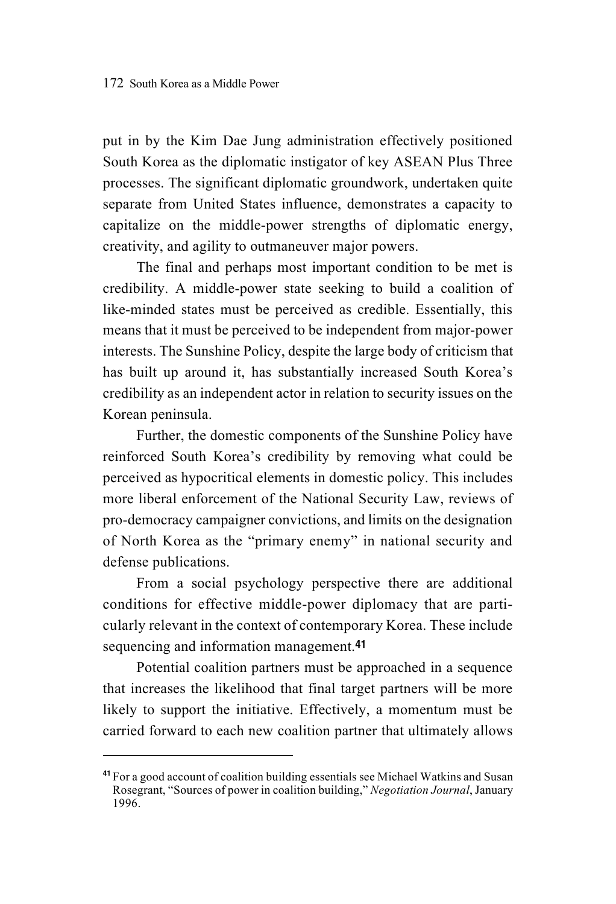put in by the Kim Dae Jung administration effectively positioned South Korea as the diplomatic instigator of key ASEAN Plus Three processes. The significant diplomatic groundwork, undertaken quite separate from United States influence, demonstrates a capacity to capitalize on the middle-power strengths of diplomatic energy, creativity, and agility to outmaneuver major powers.

The final and perhaps most important condition to be met is credibility. A middle-power state seeking to build a coalition of like-minded states must be perceived as credible. Essentially, this means that it must be perceived to be independent from major-power interests. The Sunshine Policy, despite the large body of criticism that has built up around it, has substantially increased South Korea's credibility as an independent actor in relation to security issues on the Korean peninsula.

Further, the domestic components of the Sunshine Policy have reinforced South Korea's credibility by removing what could be perceived as hypocritical elements in domestic policy. This includes more liberal enforcement of the National Security Law, reviews of pro-democracy campaigner convictions, and limits on the designation of North Korea as the "primary enemy" in national security and defense publications.

From a social psychology perspective there are additional conditions for effective middle-power diplomacy that are particularly relevant in the context of contemporary Korea. These include sequencing and information management.<sup>41</sup>

Potential coalition partners must be approached in a sequence that increases the likelihood that final target partners will be more likely to support the initiative. Effectively, a momentum must be carried forward to each new coalition partner that ultimately allows

<sup>41</sup> For a good account of coalition building essentials see Michael Watkins and Susan Rosegrant, "Sources of power in coalition building," *Negotiation Journal*, January 1996.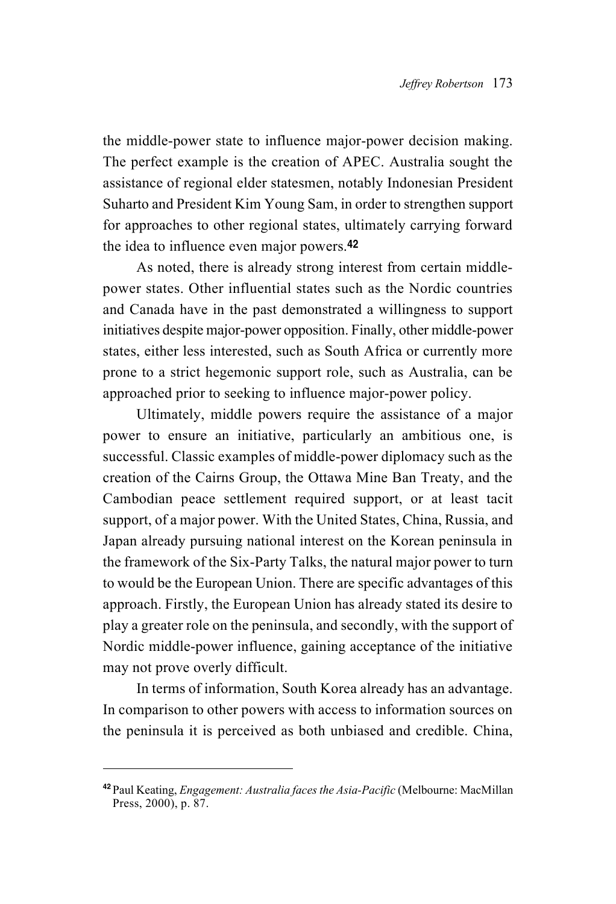the middle-power state to influence major-power decision making. The perfect example is the creation of APEC. Australia sought the assistance of regional elder statesmen, notably Indonesian President Suharto and President Kim Young Sam, in order to strengthen support for approaches to other regional states, ultimately carrying forward the idea to influence even major powers.<sup>42</sup>

As noted, there is already strong interest from certain middlepower states. Other influential states such as the Nordic countries and Canada have in the past demonstrated a willingness to support initiatives despite major-power opposition. Finally, other middle-power states, either less interested, such as South Africa or currently more prone to a strict hegemonic support role, such as Australia, can be approached prior to seeking to influence major-power policy.

Ultimately, middle powers require the assistance of a major power to ensure an initiative, particularly an ambitious one, is successful. Classic examples of middle-power diplomacy such as the creation of the Cairns Group, the Ottawa Mine Ban Treaty, and the Cambodian peace settlement required support, or at least tacit support, of a major power. With the United States, China, Russia, and Japan already pursuing national interest on the Korean peninsula in the framework of the Six-Party Talks, the natural major power to turn to would be the European Union. There are specific advantages of this approach. Firstly, the European Union has already stated its desire to play a greater role on the peninsula, and secondly, with the support of Nordic middle-power influence, gaining acceptance of the initiative may not prove overly difficult.

In terms of information, South Korea already has an advantage. In comparison to other powers with access to information sources on the peninsula it is perceived as both unbiased and credible. China,

<sup>42</sup> Paul Keating, *Engagement: Australia faces the Asia-Pacific* (Melbourne: MacMillan Press, 2000), p. 87.